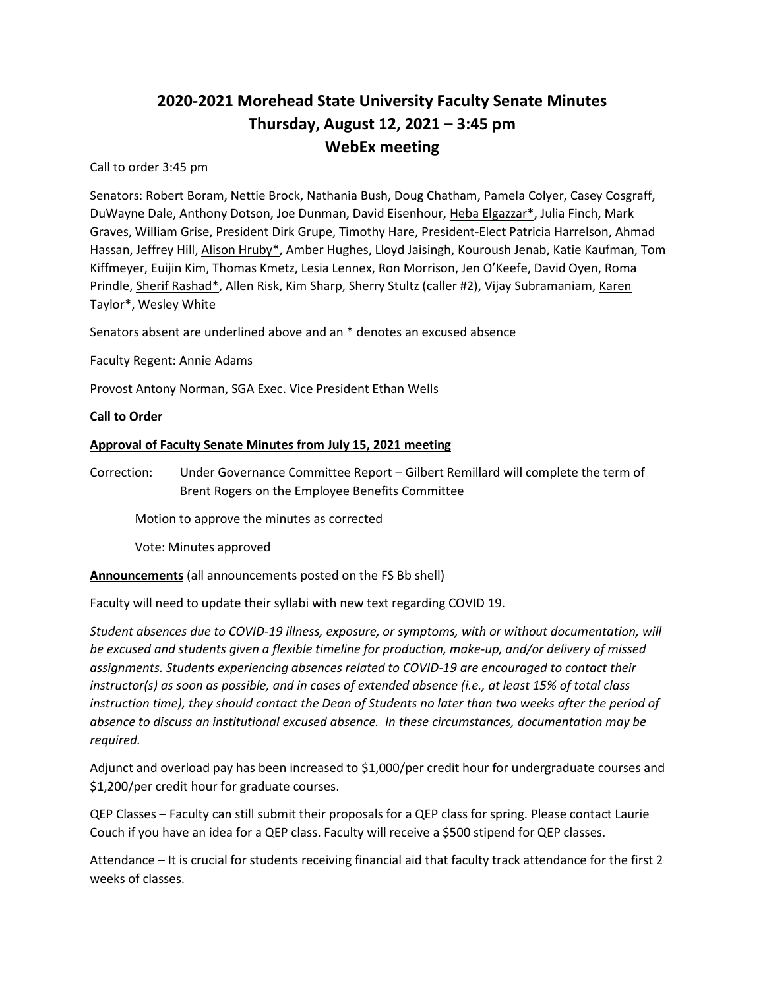# **2020-2021 Morehead State University Faculty Senate Minutes Thursday, August 12, 2021 – 3:45 pm WebEx meeting**

Call to order 3:45 pm

Senators: Robert Boram, Nettie Brock, Nathania Bush, Doug Chatham, Pamela Colyer, Casey Cosgraff, DuWayne Dale, Anthony Dotson, Joe Dunman, David Eisenhour, Heba Elgazzar\*, Julia Finch, Mark Graves, William Grise, President Dirk Grupe, Timothy Hare, President-Elect Patricia Harrelson, Ahmad Hassan, Jeffrey Hill, Alison Hruby\*, Amber Hughes, Lloyd Jaisingh, Kouroush Jenab, Katie Kaufman, Tom Kiffmeyer, Euijin Kim, Thomas Kmetz, Lesia Lennex, Ron Morrison, Jen O'Keefe, David Oyen, Roma Prindle, Sherif Rashad\*, Allen Risk, Kim Sharp, Sherry Stultz (caller #2), Vijay Subramaniam, Karen Taylor\*, Wesley White

Senators absent are underlined above and an \* denotes an excused absence

Faculty Regent: Annie Adams

Provost Antony Norman, SGA Exec. Vice President Ethan Wells

## **Call to Order**

## **Approval of Faculty Senate Minutes from July 15, 2021 meeting**

Correction: Under Governance Committee Report – Gilbert Remillard will complete the term of Brent Rogers on the Employee Benefits Committee

Motion to approve the minutes as corrected

Vote: Minutes approved

**Announcements** (all announcements posted on the FS Bb shell)

Faculty will need to update their syllabi with new text regarding COVID 19.

*Student absences due to COVID-19 illness, exposure, or symptoms, with or without documentation, will be excused and students given a flexible timeline for production, make-up, and/or delivery of missed assignments. Students experiencing absences related to COVID-19 are encouraged to contact their instructor(s) as soon as possible, and in cases of extended absence (i.e., at least 15% of total class instruction time), they should contact the Dean of Students no later than two weeks after the period of absence to discuss an institutional excused absence. In these circumstances, documentation may be required.*

Adjunct and overload pay has been increased to \$1,000/per credit hour for undergraduate courses and \$1,200/per credit hour for graduate courses.

QEP Classes – Faculty can still submit their proposals for a QEP class for spring. Please contact Laurie Couch if you have an idea for a QEP class. Faculty will receive a \$500 stipend for QEP classes.

Attendance – It is crucial for students receiving financial aid that faculty track attendance for the first 2 weeks of classes.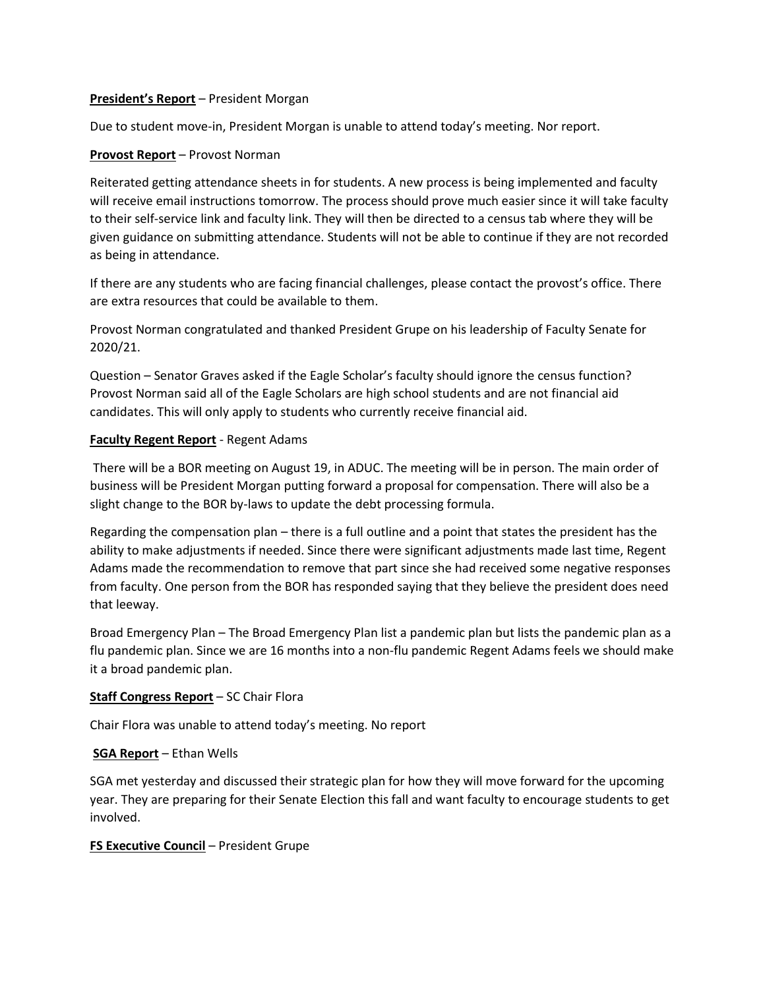#### **President's Report** – President Morgan

Due to student move-in, President Morgan is unable to attend today's meeting. Nor report.

#### **Provost Report** – Provost Norman

Reiterated getting attendance sheets in for students. A new process is being implemented and faculty will receive email instructions tomorrow. The process should prove much easier since it will take faculty to their self-service link and faculty link. They will then be directed to a census tab where they will be given guidance on submitting attendance. Students will not be able to continue if they are not recorded as being in attendance.

If there are any students who are facing financial challenges, please contact the provost's office. There are extra resources that could be available to them.

Provost Norman congratulated and thanked President Grupe on his leadership of Faculty Senate for 2020/21.

Question – Senator Graves asked if the Eagle Scholar's faculty should ignore the census function? Provost Norman said all of the Eagle Scholars are high school students and are not financial aid candidates. This will only apply to students who currently receive financial aid.

#### **Faculty Regent Report** - Regent Adams

There will be a BOR meeting on August 19, in ADUC. The meeting will be in person. The main order of business will be President Morgan putting forward a proposal for compensation. There will also be a slight change to the BOR by-laws to update the debt processing formula.

Regarding the compensation plan – there is a full outline and a point that states the president has the ability to make adjustments if needed. Since there were significant adjustments made last time, Regent Adams made the recommendation to remove that part since she had received some negative responses from faculty. One person from the BOR has responded saying that they believe the president does need that leeway.

Broad Emergency Plan – The Broad Emergency Plan list a pandemic plan but lists the pandemic plan as a flu pandemic plan. Since we are 16 months into a non-flu pandemic Regent Adams feels we should make it a broad pandemic plan.

## **Staff Congress Report** – SC Chair Flora

Chair Flora was unable to attend today's meeting. No report

#### **SGA Report** – Ethan Wells

SGA met yesterday and discussed their strategic plan for how they will move forward for the upcoming year. They are preparing for their Senate Election this fall and want faculty to encourage students to get involved.

#### **FS Executive Council** – President Grupe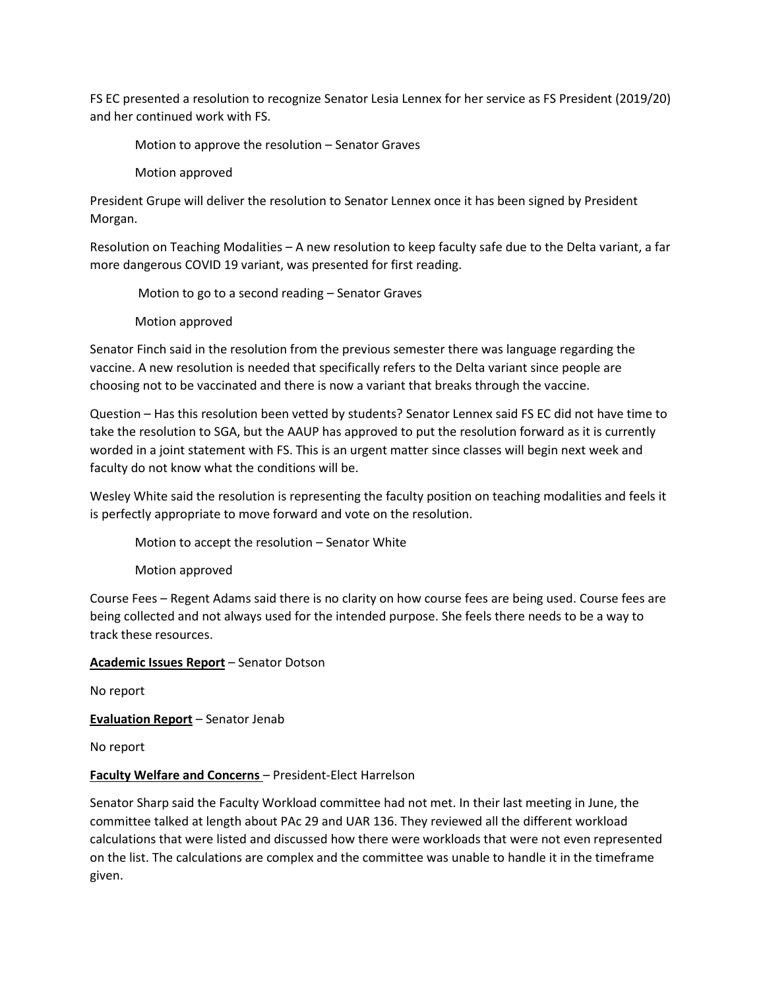FS EC presented a resolution to recognize Senator Lesia Lennex for her service as FS President (2019/20) and her continued work with FS.

Motion to approve the resolution – Senator Graves

Motion approved

President Grupe will deliver the resolution to Senator Lennex once it has been signed by President Morgan.

Resolution on Teaching Modalities – A new resolution to keep faculty safe due to the Delta variant, a far more dangerous COVID 19 variant, was presented for first reading.

Motion to go to a second reading – Senator Graves

Motion approved

Senator Finch said in the resolution from the previous semester there was language regarding the vaccine. A new resolution is needed that specifically refers to the Delta variant since people are choosing not to be vaccinated and there is now a variant that breaks through the vaccine.

Question – Has this resolution been vetted by students? Senator Lennex said FS EC did not have time to take the resolution to SGA, but the AAUP has approved to put the resolution forward as it is currently worded in a joint statement with FS. This is an urgent matter since classes will begin next week and faculty do not know what the conditions will be.

Wesley White said the resolution is representing the faculty position on teaching modalities and feels it is perfectly appropriate to move forward and vote on the resolution.

Motion to accept the resolution – Senator White

Motion approved

Course Fees – Regent Adams said there is no clarity on how course fees are being used. Course fees are being collected and not always used for the intended purpose. She feels there needs to be a way to track these resources.

**Academic Issues Report** – Senator Dotson

No report

**Evaluation Report** – Senator Jenab

No report

# **Faculty Welfare and Concerns** – President-Elect Harrelson

Senator Sharp said the Faculty Workload committee had not met. In their last meeting in June, the committee talked at length about PAc 29 and UAR 136. They reviewed all the different workload calculations that were listed and discussed how there were workloads that were not even represented on the list. The calculations are complex and the committee was unable to handle it in the timeframe given.